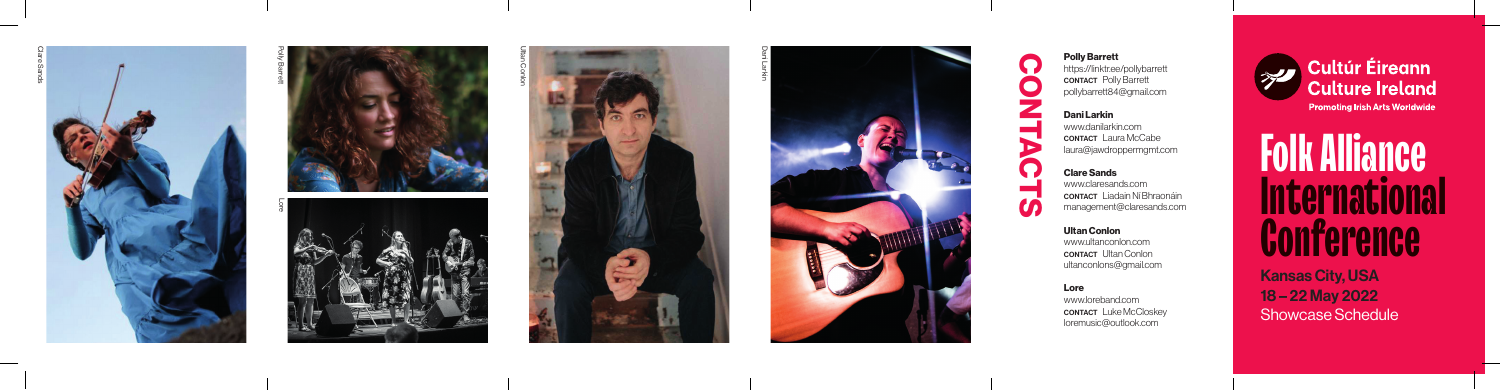Kansas City, USA 18 – 22 May 2022 Showcase Schedule

# **Folk Alliance International Conference**

### Polly Barrett

https://linktr.ee/pollybarrett CONTACT Polly Barrett pollybarrett84@gmail.com

www.danilarkin.com CONTACT Laura McCabe laura@jawdroppermgmt.com

Clare Sands

 $\boldsymbol{U}$ 

www.claresands.com CONTACT Liadain Ní Bhraonáin management@claresands.com

Ultan Conlon

Dani Larkin CONTACTS

> www.ultanconlon.com CONTACT Ultan Conlon ultanconlons@gmail.com



Lore www.loreband.com **CONTACT** Luke McCloskey loremusic@outlook.com



Polly Barrett





Dani Larkin

Lore